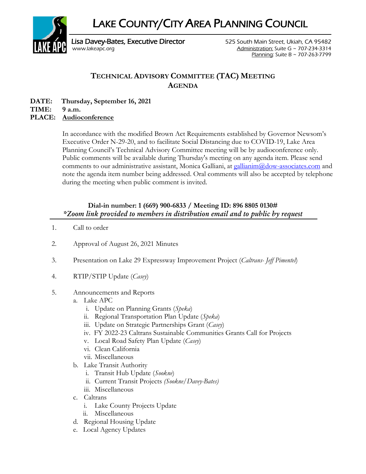LAKE COUNTY/CITY AREA PLANNING COUNCIL



Lisa Davey-Bates, Executive Director **525 South Main Street, Ukiah, CA 95482** [www.lakeapc.org](http://www.lakeapc.org/) Administration: Suite G ~ 707-234-3314 Planning: Suite B ~ 707-263-7799

## **TECHNICAL ADVISORY COMMITTEE (TAC) MEETING AGENDA**

**DATE: Thursday, September 16, 2021**

**TIME: 9 a.m.**

## **PLACE: Audioconference**

In accordance with the modified Brown Act Requirements established by Governor Newsom's Executive Order N-29-20, and to facilitate Social Distancing due to COVID-19, Lake Area Planning Council's Technical Advisory Committee meeting will be by audioconference only. Public comments will be available during Thursday's meeting on any agenda item. Please send comments to our administrative assistant, Monica Galliani, at [gallianim@dow-associates.com](mailto:gallianim@dow-associates.com) and note the agenda item number being addressed. Oral comments will also be accepted by telephone during the meeting when public comment is invited.

## **Dial-in number: 1 (669) 900-6833 / Meeting ID: 896 8805 0130#** *\*Zoom link provided to members in distribution email and to public by request*

- 1. Call to order
- 2. Approval of August 26, 2021 Minutes
- 3. Presentation on Lake 29 Expressway Improvement Project (*Caltrans- Jeff Pimentel*)
- 4. RTIP/STIP Update (*Casey*)
- 5. Announcements and Reports
	- a. Lake APC
		- i. Update on Planning Grants (*Speka*)
		- ii. Regional Transportation Plan Update (*Speka*)
		- iii. Update on Strategic Partnerships Grant (*Casey*)
		- iv. FY 2022-23 Caltrans Sustainable Communities Grants Call for Projects
		- v. Local Road Safety Plan Update (*Casey*)
		- vi. Clean California
		- vii. Miscellaneous
	- b. Lake Transit Authority
		- i. Transit Hub Update (*Sookne*)
		- ii. Current Transit Projects *(Sookne/Davey-Bates)*
		- iii. Miscellaneous
	- c. Caltrans
		- i. Lake County Projects Update
		- ii. Miscellaneous
	- d. Regional Housing Update
	- e. Local Agency Updates